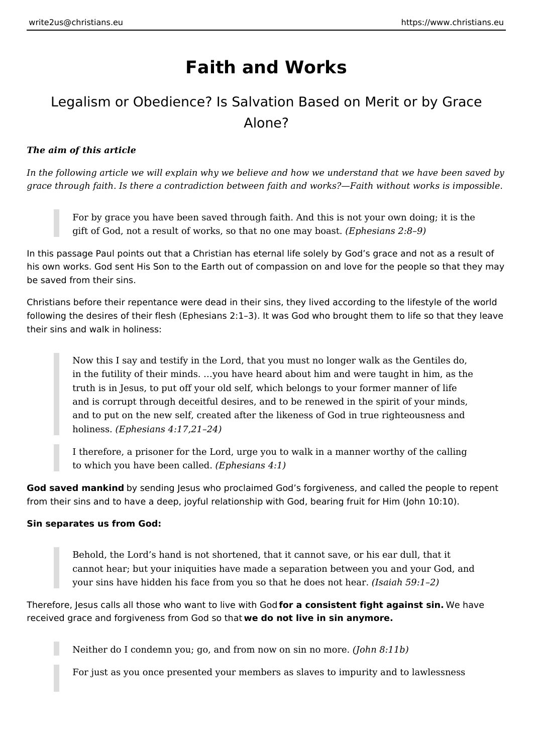# **Faith and Works**

## Legalism or Obedience? Is Salvation Based on Merit or by Grace Alone?

## *The aim of this article*

*In the following article we will explain why we believe and how we understand that we have been saved by grace through faith. Is there a contradiction between faith and works?—Faith without works is impossible.*

For by grace you have been saved through faith. And this is not your own doing; it is the gift of God, not a result of works, so that no one may boast. *(Ephesians 2:8–9)*

In this passage Paul points out that a Christian has eternal life solely by God's grace and not as a result of his own works. God sent His Son to the Earth out of compassion on and love for the people so that they may be saved from their sins.

Christians before their repentance were dead in their sins, they lived according to the lifestyle of the world following the desires of their flesh (Ephesians 2:1–3). It was God who brought them to life so that they leave their sins and walk in holiness:

Now this I say and testify in the Lord, that you must no longer walk as the Gentiles do, in the futility of their minds. …you have heard about him and were taught in him, as the truth is in Jesus, to put off your old self, which belongs to your former manner of life and is corrupt through deceitful desires, and to be renewed in the spirit of your minds, and to put on the new self, created after the likeness of God in true righteousness and holiness. *(Ephesians 4:17,21–24)*

I therefore, a prisoner for the Lord, urge you to walk in a manner worthy of the calling to which you have been called. *(Ephesians 4:1)*

**God saved mankind** by sending Jesus who proclaimed God's forgiveness, and called the people to repent from their sins and to have a deep, joyful relationship with God, bearing fruit for Him (John 10:10).

## **Sin separates us from God:**

Behold, the Lord's hand is not shortened, that it cannot save, or his ear dull, that it cannot hear; but your iniquities have made a separation between you and your God, and your sins have hidden his face from you so that he does not hear. *(Isaiah 59:1–2)*

Therefore, Jesus calls all those who want to live with God **for a consistent fight against sin.** We have received grace and forgiveness from God so that **we do not live in sin anymore.**

Neither do I condemn you; go, and from now on sin no more. *(John 8:11b)*

For just as you once presented your members as slaves to impurity and to lawlessness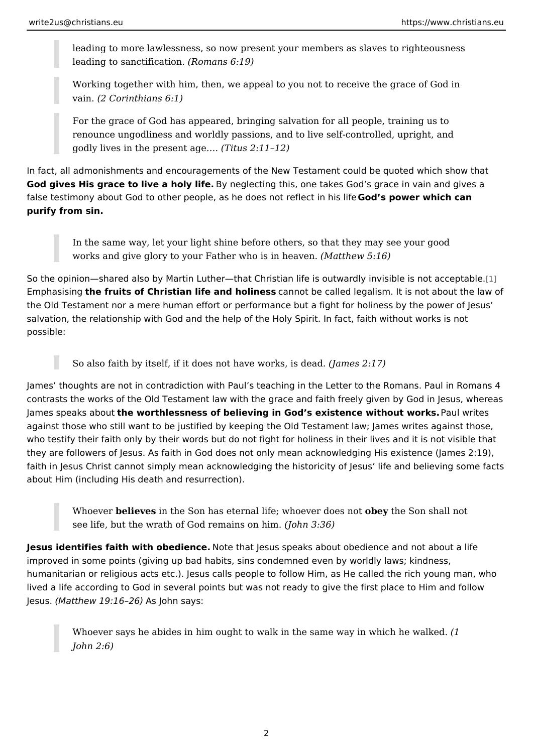leading to more lawlessness, so now present your members as slaves to leading to sanctifi $(cRationan s 6:19)$ 

Working together with him, then, we appeal to you not to receive the gr vain(2 Corinthians 6:1)

For the grace of God has appeared, bringing salvation for all people, tr renounce ungodliness and worldly passions, and to live self-controlled, godly lives in the prese(nTititaugse  $\&$ :11 12)

In fact, all admonishments and encouragements of the New Testament could be q God gives His grace to live a hBoy yn bigetecting this, one takes God s grace in vain false testimony about God to other people, as he doe**Gondos need weecnt winning insident** purify from sin.

In the same way, let your light shine before others, so that they may se works and give glory to your Father who Misstine we 5 ve 6).

So the opinion shared also by Martin Luther that Christian life is outward in invis Emphasisthe fruits of Christian life and homimets be called legalism. It is not about the Old Testament nor a mere human effort or performance but a fight for holine salvation, the relationship with God and the help of the Holy Spirit. In fact, faith possible:

So also faith by itself, if it does not have awnounce  $s \approx 2$ : institutional  $\sim 2$ 

James thoughts are not in contradiction with Paul s teaching in the Letter to the contrasts the works of the Old Testament law with the grace and faith freely give James speaks ahbeo untorthlessness of believing in God s existence wire althout which elss. against those who still want to be justified by keeping the Old Testament law; Ja who testify their faith only by their words but do not fight for holiness in their li they are followers of Jesus. As faith in God does not only mean acknowledging **H** faith in Jesus Christ cannot simply mean acknowledging the historicity of Jesus about Him (including His death and resurrection).

Whoevebre lieve isn the Son has eternal life; whoevebeery to hopes from the all not see life, but the wrath of God remains on him. (John 3:36)

Jesus identifies faith with obe doe tehat Jesus speaks about obedience and not a improved in some points (giving up bad habits, sins condemned even by worldly humanitarian or religious acts etc.). Jesus calls people to follow Him, as He cal lived a life according to God in several points but was not ready to give the firs Jesu&Matthew 19:16A26John says:

Whoever says he abides in him ought to walk in the same way in which I John 2:6)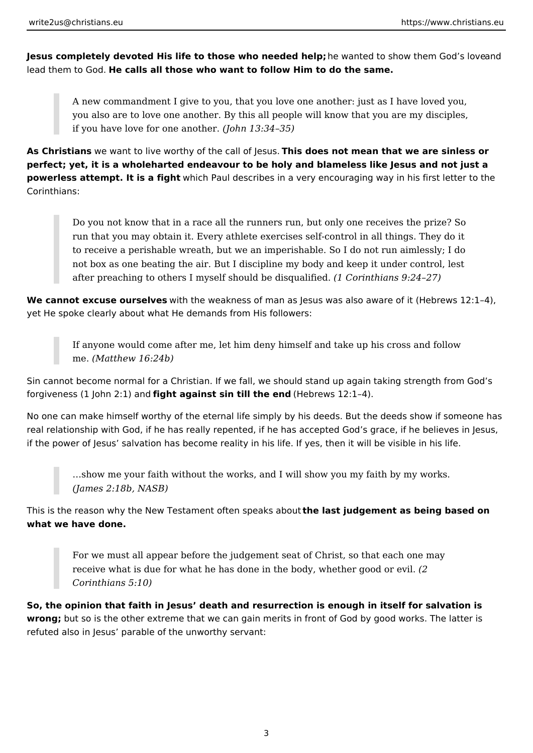**Jesus completely devoted His life to those who needed help;** he wanted to show them God's loveand lead them to God. **He calls all those who want to follow Him to do the same.**

A new commandment I give to you, that you love one another: just as I have loved you, you also are to love one another. By this all people will know that you are my disciples, if you have love for one another. *(John 13:34–35)*

**As Christians** we want to live worthy of the call of Jesus. **This does not mean that we are sinless or perfect; yet, it is a wholeharted endeavour to be holy and blameless like Jesus and not just a powerless attempt. It is a fight** which Paul describes in a very encouraging way in his first letter to the Corinthians:

Do you not know that in a race all the runners run, but only one receives the prize? So run that you may obtain it. Every athlete exercises self-control in all things. They do it to receive a perishable wreath, but we an imperishable. So I do not run aimlessly; I do not box as one beating the air. But I discipline my body and keep it under control, lest after preaching to others I myself should be disqualified. *(1 Corinthians 9:24–27)*

**We cannot excuse ourselves** with the weakness of man as lesus was also aware of it (Hebrews 12:1-4), yet He spoke clearly about what He demands from His followers:

If anyone would come after me, let him deny himself and take up his cross and follow me. *(Matthew 16:24b)*

Sin cannot become normal for a Christian. If we fall, we should stand up again taking strength from God's forgiveness (1 John 2:1) and **fight against sin till the end** (Hebrews 12:1–4).

No one can make himself worthy of the eternal life simply by his deeds. But the deeds show if someone has real relationship with God, if he has really repented, if he has accepted God's grace, if he believes in Jesus, if the power of Jesus' salvation has become reality in his life. If yes, then it will be visible in his life.

…show me your faith without the works, and I will show you my faith by my works. *(James 2:18b, NASB)*

This is the reason why the New Testament often speaks about **the last judgement as being based on what we have done.**

For we must all appear before the judgement seat of Christ, so that each one may receive what is due for what he has done in the body, whether good or evil. *(2 Corinthians 5:10)*

**So, the opinion that faith in Jesus' death and resurrection is enough in itself for salvation is wrong;** but so is the other extreme that we can gain merits in front of God by good works. The latter is refuted also in Jesus' parable of the unworthy servant: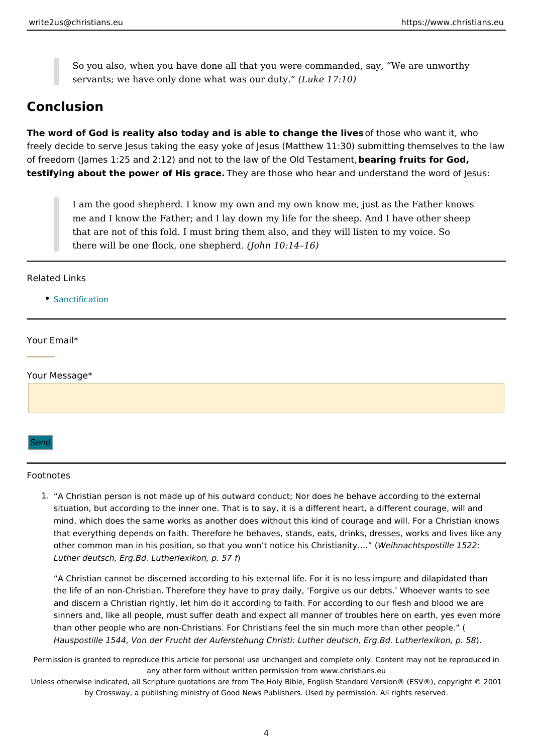<span id="page-3-0"></span>So you also, when you have done all that you were commanded, say, W servants; we have only done what w( $d$ sukoeur1 $d$ utout).

### Conclusion

The word of God is reality also today and is able to choanthologie whice want it, who freely decide to serve Jesus taking the easy yoke of Jesus (Matthew 11:30) subn of freedom (James 1:25 and 2:12) and not to the law bot at the gO fidum testam 6 mod, testifying about the power of Histher are those who hear and understand the word

I am the good shepherd. I know my own and my own know me, just as th me and I know the Father; and I lay down my life for the sheep. And I h that are not of this fold. I must bring them also, and they will listen to there will be one flock, one  $s$  be pheard. 4 16)

#### Related Links

[Sanctifica](https://www.christians.eu/sanctification/)tion

Your Email\*

Your Message\*

#### Send

#### Footnotes

1. A Christian person is not made up of his outward conduct; Nor does he behave acc situation, but according to the inner one. That is to say, it is a different heart, a d mind, which does the same works as another does without this kind of courage and that everything depends on faith. Therefore he behaves, stands, eats, drinks, dres other common man in his position, so that you won t noti $W$  eihinsa Chhtraip bisatrille 8.1.52(2: Luther deutsch, Erg. Bd. Lutherlexikon, p. 57 f

A Christian cannot be discerned according to his external life. For it is no less im the life of an non-Christian. Therefore they have to pray daily, Forgive us our deb and discern a Christian rightly, let him do it according to faith. For according to o sinners and, like all people, must suffer death and expect all manner of troubles he than other people who are non-Christians. For Christians feel the sin much more th Hauspostille 1544, Von der Frucht der Auferstehung Christi: Luther deutsoh, Erg. B.

Permission is granted to reproduce this article for personal use unchanged and complete only. Co any other form without written permission from www.christians.eu

Unless otherwise indicated, all Scripture quotations are from The Holy Bible, English Standard Ve by Crossway, a publishing ministry of Good News Publishers. Used by permission. All r